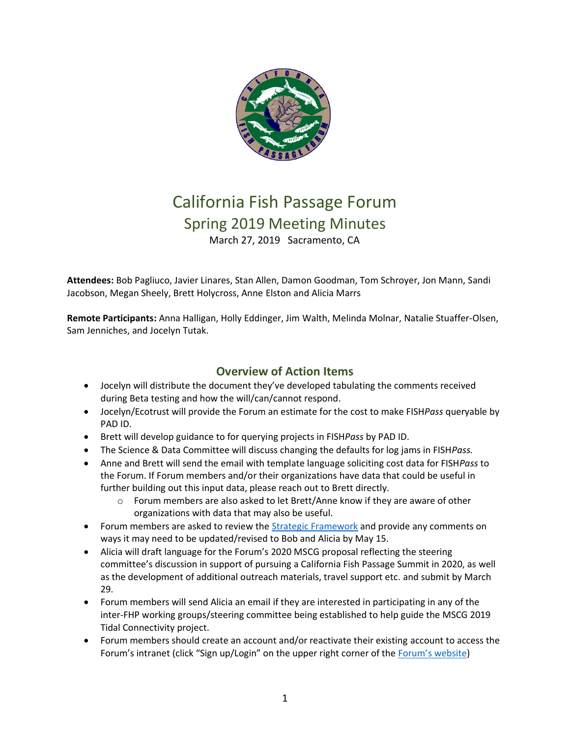

# California Fish Passage Forum Spring 2019 Meeting Minutes March 27, 2019 Sacramento, CA

**Attendees:** Bob Pagliuco, Javier Linares, Stan Allen, Damon Goodman, Tom Schroyer, Jon Mann, Sandi Jacobson, Megan Sheely, Brett Holycross, Anne Elston and Alicia Marrs

**Remote Participants:** Anna Halligan, Holly Eddinger, Jim Walth, Melinda Molnar, Natalie Stuaffer-Olsen, Sam Jenniches, and Jocelyn Tutak.

# **Overview of Action Items**

- Jocelyn will distribute the document they've developed tabulating the comments received during Beta testing and how the will/can/cannot respond.
- Jocelyn/Ecotrust will provide the Forum an estimate for the cost to make FISH*Pass* queryable by PAD ID.
- Brett will develop guidance to for querying projects in FISH*Pass* by PAD ID.
- The Science & Data Committee will discuss changing the defaults for log jams in FISH*Pass.*
- Anne and Brett will send the email with template language soliciting cost data for FISH*Pass* to the Forum. If Forum members and/or their organizations have data that could be useful in further building out this input data, please reach out to Brett directly.
	- $\circ$  Forum members are also asked to let Brett/Anne know if they are aware of other organizations with data that may also be useful.
- Forum members are asked to review the **Strategic Framework** and provide any comments on ways it may need to be updated/revised to Bob and Alicia by May 15.
- Alicia will draft language for the Forum's 2020 MSCG proposal reflecting the steering committee's discussion in support of pursuing a California Fish Passage Summit in 2020, as well as the development of additional outreach materials, travel support etc. and submit by March 29.
- Forum members will send Alicia an email if they are interested in participating in any of the inter-FHP working groups/steering committee being established to help guide the MSCG 2019 Tidal Connectivity project.
- Forum members should create an account and/or reactivate their existing account to access the Forum's intranet (click "Sign up/Login" on the upper right corner of the [Forum's website](http://www.cafishpassageforum.org/))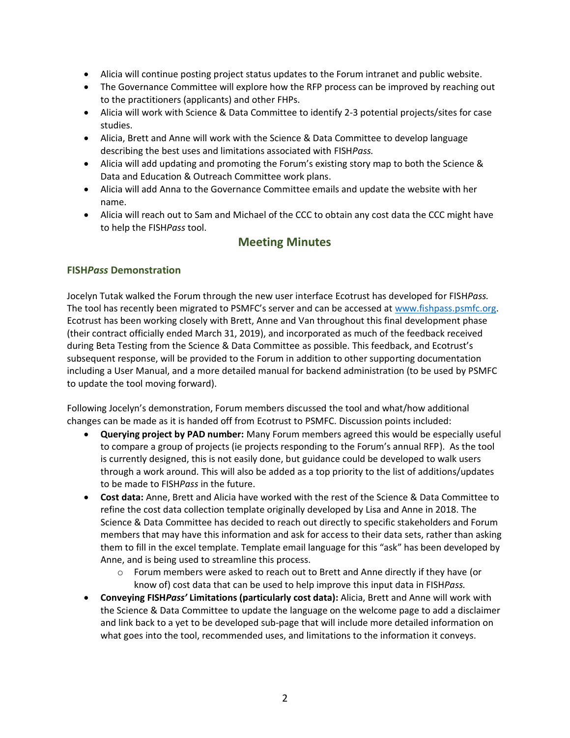- Alicia will continue posting project status updates to the Forum intranet and public website.
- The Governance Committee will explore how the RFP process can be improved by reaching out to the practitioners (applicants) and other FHPs.
- Alicia will work with Science & Data Committee to identify 2-3 potential projects/sites for case studies.
- Alicia, Brett and Anne will work with the Science & Data Committee to develop language describing the best uses and limitations associated with FISH*Pass.*
- Alicia will add updating and promoting the Forum's existing story map to both the Science & Data and Education & Outreach Committee work plans.
- Alicia will add Anna to the Governance Committee emails and update the website with her name.
- Alicia will reach out to Sam and Michael of the CCC to obtain any cost data the CCC might have to help the FISH*Pass* tool.

# **Meeting Minutes**

# **FISH***Pass* **Demonstration**

Jocelyn Tutak walked the Forum through the new user interface Ecotrust has developed for FISH*Pass.* The tool has recently been migrated to PSMFC's server and can be accessed at [www.fishpass.psmfc.org.](http://www.fishpass.psmfc.org/)  Ecotrust has been working closely with Brett, Anne and Van throughout this final development phase (their contract officially ended March 31, 2019), and incorporated as much of the feedback received during Beta Testing from the Science & Data Committee as possible. This feedback, and Ecotrust's subsequent response, will be provided to the Forum in addition to other supporting documentation including a User Manual, and a more detailed manual for backend administration (to be used by PSMFC to update the tool moving forward).

Following Jocelyn's demonstration, Forum members discussed the tool and what/how additional changes can be made as it is handed off from Ecotrust to PSMFC. Discussion points included:

- **Querying project by PAD number:** Many Forum members agreed this would be especially useful to compare a group of projects (ie projects responding to the Forum's annual RFP). As the tool is currently designed, this is not easily done, but guidance could be developed to walk users through a work around. This will also be added as a top priority to the list of additions/updates to be made to FISH*Pass* in the future.
- **Cost data:** Anne, Brett and Alicia have worked with the rest of the Science & Data Committee to refine the cost data collection template originally developed by Lisa and Anne in 2018. The Science & Data Committee has decided to reach out directly to specific stakeholders and Forum members that may have this information and ask for access to their data sets, rather than asking them to fill in the excel template. Template email language for this "ask" has been developed by Anne, and is being used to streamline this process.
	- $\circ$  Forum members were asked to reach out to Brett and Anne directly if they have (or know of) cost data that can be used to help improve this input data in FISH*Pass.*
- **Conveying FISH***Pass'* **Limitations (particularly cost data):** Alicia, Brett and Anne will work with the Science & Data Committee to update the language on the welcome page to add a disclaimer and link back to a yet to be developed sub-page that will include more detailed information on what goes into the tool, recommended uses, and limitations to the information it conveys.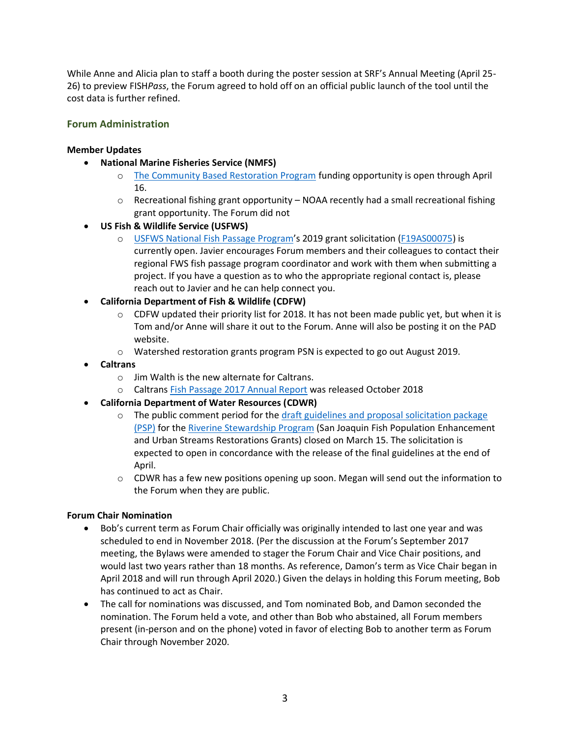While Anne and Alicia plan to staff a booth during the poster session at SRF's Annual Meeting (April 25- 26) to preview FISH*Pass*, the Forum agreed to hold off on an official public launch of the tool until the cost data is further refined.

# **Forum Administration**

### **Member Updates**

- **National Marine Fisheries Service (NMFS)**
	- o [The Community Based Restoration Program](https://www.westcoast.fisheries.noaa.gov/protected_species/salmon_steelhead/recovery_planning_and_implementation/pacific_coastal_salmon_recovery_fund.html) funding opportunity is open through April 16.
	- $\circ$  Recreational fishing grant opportunity NOAA recently had a small recreational fishing grant opportunity. The Forum did not
- **US Fish & Wildlife Service (USFWS)**
	- o [USFWS National Fish Passage Program](https://www.fws.gov/fisheries/fish-passage.html)'s 2019 grant solicitation ([F19AS00075\)](https://www.grants.gov/web/grants/view-opportunity.html?oppId=311506) is currently open. Javier encourages Forum members and their colleagues to contact their regional FWS fish passage program coordinator and work with them when submitting a project. If you have a question as to who the appropriate regional contact is, please reach out to Javier and he can help connect you.
- **California Department of Fish & Wildlife (CDFW)**
	- $\circ$  CDFW updated their priority list for 2018. It has not been made public yet, but when it is Tom and/or Anne will share it out to the Forum. Anne will also be posting it on the PAD website.
	- o Watershed restoration grants program PSN is expected to go out August 2019.
- **Caltrans**
	- o Jim Walth is the new alternate for Caltrans.
	- o Caltrans [Fish Passage 2017 Annual Report](https://docs.wixstatic.com/ugd/0e48c2_4206c3592dd148e2a046a768712ea904.pdf) was released October 2018
- **California Department of Water Resources (CDWR)**
	- $\circ$  The public comment period for the draft guidelines and proposal solicitation package [\(PSP\)](https://water.ca.gov/-/media/DWR-Website/Web-Pages/Programs/Integrated-Regional-Water-Management/Riverine-Stewardship-Program/Riverine-Stewardship-Program---Grants/Draft-Riverine-Stewardship-Program-Guidelines-and-PSP-1-28-19.pdf?la=en&hash=0F008E) for the [Riverine Stewardship Program](https://water.ca.gov/Programs/Integrated-Regional-Water-Management/Riverine-Stewardship-Program/Riverine-Stewardship-Grants) (San Joaquin Fish Population Enhancement and Urban Streams Restorations Grants) closed on March 15. The solicitation is expected to open in concordance with the release of the final guidelines at the end of April.
	- $\circ$  CDWR has a few new positions opening up soon. Megan will send out the information to the Forum when they are public.

#### **Forum Chair Nomination**

- Bob's current term as Forum Chair officially was originally intended to last one year and was scheduled to end in November 2018. (Per the discussion at the Forum's September 2017 meeting, the Bylaws were amended to stager the Forum Chair and Vice Chair positions, and would last two years rather than 18 months. As reference, Damon's term as Vice Chair began in April 2018 and will run through April 2020.) Given the delays in holding this Forum meeting, Bob has continued to act as Chair.
- The call for nominations was discussed, and Tom nominated Bob, and Damon seconded the nomination. The Forum held a vote, and other than Bob who abstained, all Forum members present (in-person and on the phone) voted in favor of electing Bob to another term as Forum Chair through November 2020.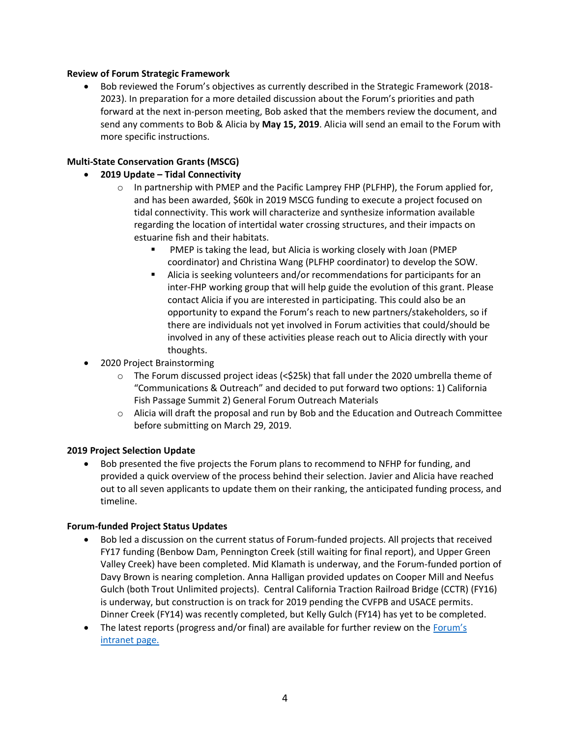#### **Review of Forum Strategic Framework**

• Bob reviewed the Forum's objectives as currently described in the Strategic Framework (2018- 2023). In preparation for a more detailed discussion about the Forum's priorities and path forward at the next in-person meeting, Bob asked that the members review the document, and send any comments to Bob & Alicia by **May 15, 2019**. Alicia will send an email to the Forum with more specific instructions.

# **Multi-State Conservation Grants (MSCG)**

# • **2019 Update – Tidal Connectivity**

- $\circ$  In partnership with PMEP and the Pacific Lamprey FHP (PLFHP), the Forum applied for, and has been awarded, \$60k in 2019 MSCG funding to execute a project focused on tidal connectivity. This work will characterize and synthesize information available regarding the location of intertidal water crossing structures, and their impacts on estuarine fish and their habitats.
	- PMEP is taking the lead, but Alicia is working closely with Joan (PMEP coordinator) and Christina Wang (PLFHP coordinator) to develop the SOW.
	- Alicia is seeking volunteers and/or recommendations for participants for an inter-FHP working group that will help guide the evolution of this grant. Please contact Alicia if you are interested in participating. This could also be an opportunity to expand the Forum's reach to new partners/stakeholders, so if there are individuals not yet involved in Forum activities that could/should be involved in any of these activities please reach out to Alicia directly with your thoughts.
- 2020 Project Brainstorming
	- $\circ$  The Forum discussed project ideas (<\$25k) that fall under the 2020 umbrella theme of "Communications & Outreach" and decided to put forward two options: 1) California Fish Passage Summit 2) General Forum Outreach Materials
	- $\circ$  Alicia will draft the proposal and run by Bob and the Education and Outreach Committee before submitting on March 29, 2019.

# **2019 Project Selection Update**

• Bob presented the five projects the Forum plans to recommend to NFHP for funding, and provided a quick overview of the process behind their selection. Javier and Alicia have reached out to all seven applicants to update them on their ranking, the anticipated funding process, and timeline.

#### **Forum-funded Project Status Updates**

- Bob led a discussion on the current status of Forum-funded projects. All projects that received FY17 funding (Benbow Dam, Pennington Creek (still waiting for final report), and Upper Green Valley Creek) have been completed. Mid Klamath is underway, and the Forum-funded portion of Davy Brown is nearing completion. Anna Halligan provided updates on Cooper Mill and Neefus Gulch (both Trout Unlimited projects). Central California Traction Railroad Bridge (CCTR) (FY16) is underway, but construction is on track for 2019 pending the CVFPB and USACE permits. Dinner Creek (FY14) was recently completed, but Kelly Gulch (FY14) has yet to be completed.
- The latest reports (progress and/or final) are available for further review on the Forum's [intranet page.](https://www.cafishpassageforum.org/intranet)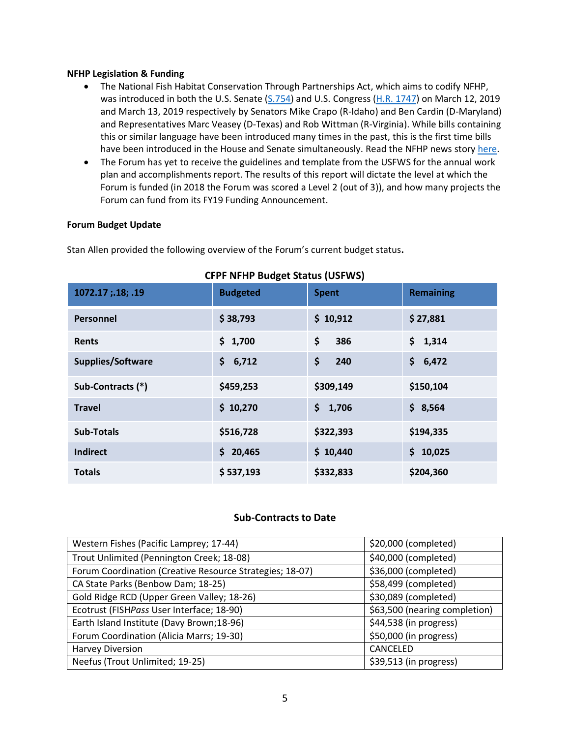#### **NFHP Legislation & Funding**

- The National Fish Habitat Conservation Through Partnerships Act, which aims to codify NFHP, was introduced in both the U.S. Senate [\(S.754\)](https://www.congress.gov/116/bills/s754/BILLS-116s754is.pdf) and U.S. Congress [\(H.R. 1747\)](https://www.congress.gov/116/bills/hr1747/BILLS-116hr1747ih.pdf) on March 12, 2019 and March 13, 2019 respectively by Senators Mike Crapo (R-Idaho) and Ben Cardin (D-Maryland) and Representatives Marc Veasey (D-Texas) and Rob Wittman (R-Virginia). While bills containing this or similar language have been introduced many times in the past, this is the first time bills have been introduced in the House and Senate simultaneously. Read the NFHP news story [here.](http://www.fishhabitat.org/news/national-fish-habitat-conservation-through-partnerships-act-introduced-in-b)
- The Forum has yet to receive the guidelines and template from the USFWS for the annual work plan and accomplishments report. The results of this report will dictate the level at which the Forum is funded (in 2018 the Forum was scored a Level 2 (out of 3)), and how many projects the Forum can fund from its FY19 Funding Announcement.

#### **Forum Budget Update**

Stan Allen provided the following overview of the Forum's current budget status**.** 

| CIFI INTIIF DUUGEL SLALUS (USI WS) |                 |              |                  |  |  |
|------------------------------------|-----------------|--------------|------------------|--|--|
| 1072.17; 18; .19                   | <b>Budgeted</b> | <b>Spent</b> | <b>Remaining</b> |  |  |
| Personnel                          | \$38,793        | \$10,912     | \$27,881         |  |  |
| <b>Rents</b>                       | \$1,700         | \$<br>386    | \$1,314          |  |  |
| Supplies/Software                  | 6,712<br>\$     | \$<br>240    | \$<br>6,472      |  |  |
| Sub-Contracts (*)                  | \$459,253       | \$309,149    | \$150,104        |  |  |
| <b>Travel</b>                      | \$10,270        | \$<br>1,706  | \$3,564          |  |  |
| <b>Sub-Totals</b>                  | \$516,728       | \$322,393    | \$194,335        |  |  |
| <b>Indirect</b>                    | \$20,465        | \$10,440     | \$10,025         |  |  |
| <b>Totals</b>                      | \$537,193       | \$332,833    | \$204,360        |  |  |

# **CFPF NFHP Budget Status (USFWS)**

### **Sub-Contracts to Date**

| Western Fishes (Pacific Lamprey; 17-44)                  | \$20,000 (completed)          |
|----------------------------------------------------------|-------------------------------|
| Trout Unlimited (Pennington Creek; 18-08)                | \$40,000 (completed)          |
| Forum Coordination (Creative Resource Strategies; 18-07) | \$36,000 (completed)          |
| CA State Parks (Benbow Dam; 18-25)                       | \$58,499 (completed)          |
| Gold Ridge RCD (Upper Green Valley; 18-26)               | \$30,089 (completed)          |
| Ecotrust (FISHPass User Interface; 18-90)                | \$63,500 (nearing completion) |
| Earth Island Institute (Davy Brown;18-96)                | \$44,538 (in progress)        |
| Forum Coordination (Alicia Marrs; 19-30)                 | \$50,000 (in progress)        |
| <b>Harvey Diversion</b>                                  | CANCELED                      |
| Neefus (Trout Unlimited; 19-25)                          | \$39,513 (in progress)        |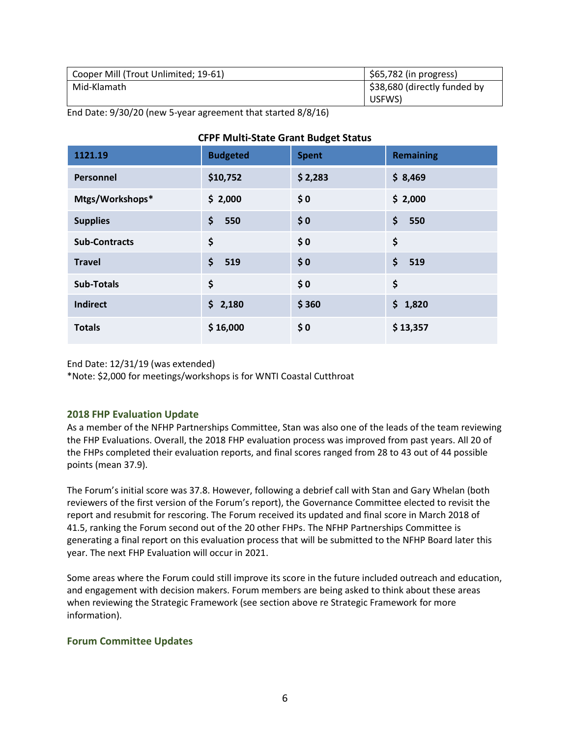| Cooper Mill (Trout Unlimited; 19-61) | $$65,782$ (in progress)      |
|--------------------------------------|------------------------------|
| Mid-Klamath                          | \$38,680 (directly funded by |
|                                      | USFWS)                       |

End Date: 9/30/20 (new 5-year agreement that started 8/8/16)

| 1121.19              | <b>Budgeted</b>     | <b>Spent</b> | <b>Remaining</b> |
|----------------------|---------------------|--------------|------------------|
| Personnel            | \$10,752            | \$2,283      | \$8,469          |
| Mtgs/Workshops*      | \$2,000             | \$0          | \$2,000          |
| <b>Supplies</b>      | \$<br>550           | \$0          | \$<br>550        |
| <b>Sub-Contracts</b> | \$                  | \$0          | \$               |
| <b>Travel</b>        | $\mathsf{S}$<br>519 | \$0          | \$<br>519        |
| <b>Sub-Totals</b>    | \$                  | \$0          | \$               |
| <b>Indirect</b>      | \$2,180             | \$360        | \$1,820          |
| <b>Totals</b>        | \$16,000            | \$0          | \$13,357         |

# **CFPF Multi-State Grant Budget Status**

End Date: 12/31/19 (was extended)

\*Note: \$2,000 for meetings/workshops is for WNTI Coastal Cutthroat

# **2018 FHP Evaluation Update**

As a member of the NFHP Partnerships Committee, Stan was also one of the leads of the team reviewing the FHP Evaluations. Overall, the 2018 FHP evaluation process was improved from past years. All 20 of the FHPs completed their evaluation reports, and final scores ranged from 28 to 43 out of 44 possible points (mean 37.9).

The Forum's initial score was 37.8. However, following a debrief call with Stan and Gary Whelan (both reviewers of the first version of the Forum's report), the Governance Committee elected to revisit the report and resubmit for rescoring. The Forum received its updated and final score in March 2018 of 41.5, ranking the Forum second out of the 20 other FHPs. The NFHP Partnerships Committee is generating a final report on this evaluation process that will be submitted to the NFHP Board later this year. The next FHP Evaluation will occur in 2021.

Some areas where the Forum could still improve its score in the future included outreach and education, and engagement with decision makers. Forum members are being asked to think about these areas when reviewing the Strategic Framework (see section above re Strategic Framework for more information).

# **Forum Committee Updates**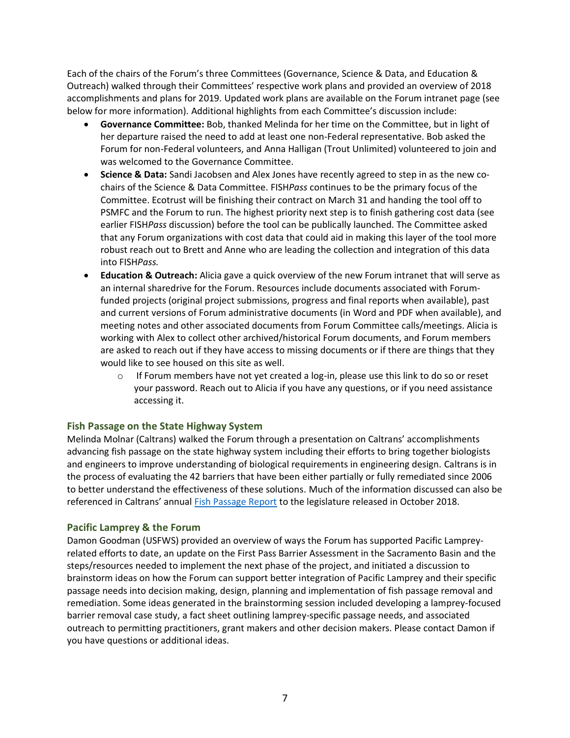Each of the chairs of the Forum's three Committees (Governance, Science & Data, and Education & Outreach) walked through their Committees' respective work plans and provided an overview of 2018 accomplishments and plans for 2019. Updated work plans are available on the Forum intranet page (see below for more information). Additional highlights from each Committee's discussion include:

- **Governance Committee:** Bob, thanked Melinda for her time on the Committee, but in light of her departure raised the need to add at least one non-Federal representative. Bob asked the Forum for non-Federal volunteers, and Anna Halligan (Trout Unlimited) volunteered to join and was welcomed to the Governance Committee.
- **Science & Data:** Sandi Jacobsen and Alex Jones have recently agreed to step in as the new cochairs of the Science & Data Committee. FISH*Pass* continues to be the primary focus of the Committee. Ecotrust will be finishing their contract on March 31 and handing the tool off to PSMFC and the Forum to run. The highest priority next step is to finish gathering cost data (see earlier FISH*Pass* discussion) before the tool can be publically launched. The Committee asked that any Forum organizations with cost data that could aid in making this layer of the tool more robust reach out to Brett and Anne who are leading the collection and integration of this data into FISH*Pass.*
- **Education & Outreach:** Alicia gave a quick overview of the new Forum intranet that will serve as an internal sharedrive for the Forum. Resources include documents associated with Forumfunded projects (original project submissions, progress and final reports when available), past and current versions of Forum administrative documents (in Word and PDF when available), and meeting notes and other associated documents from Forum Committee calls/meetings. Alicia is working with Alex to collect other archived/historical Forum documents, and Forum members are asked to reach out if they have access to missing documents or if there are things that they would like to see housed on this site as well.
	- $\circ$  If Forum members have not yet created a log-in, please use this link to do so or reset your password. Reach out to Alicia if you have any questions, or if you need assistance accessing it.

#### **Fish Passage on the State Highway System**

Melinda Molnar (Caltrans) walked the Forum through a presentation on Caltrans' accomplishments advancing fish passage on the state highway system including their efforts to bring together biologists and engineers to improve understanding of biological requirements in engineering design. Caltrans is in the process of evaluating the 42 barriers that have been either partially or fully remediated since 2006 to better understand the effectiveness of these solutions. Much of the information discussed can also be referenced in Caltrans' annual [Fish Passage Report](https://docs.wixstatic.com/ugd/0e48c2_4206c3592dd148e2a046a768712ea904.pdf) to the legislature released in October 2018.

#### **Pacific Lamprey & the Forum**

Damon Goodman (USFWS) provided an overview of ways the Forum has supported Pacific Lampreyrelated efforts to date, an update on the First Pass Barrier Assessment in the Sacramento Basin and the steps/resources needed to implement the next phase of the project, and initiated a discussion to brainstorm ideas on how the Forum can support better integration of Pacific Lamprey and their specific passage needs into decision making, design, planning and implementation of fish passage removal and remediation. Some ideas generated in the brainstorming session included developing a lamprey-focused barrier removal case study, a fact sheet outlining lamprey-specific passage needs, and associated outreach to permitting practitioners, grant makers and other decision makers. Please contact Damon if you have questions or additional ideas.